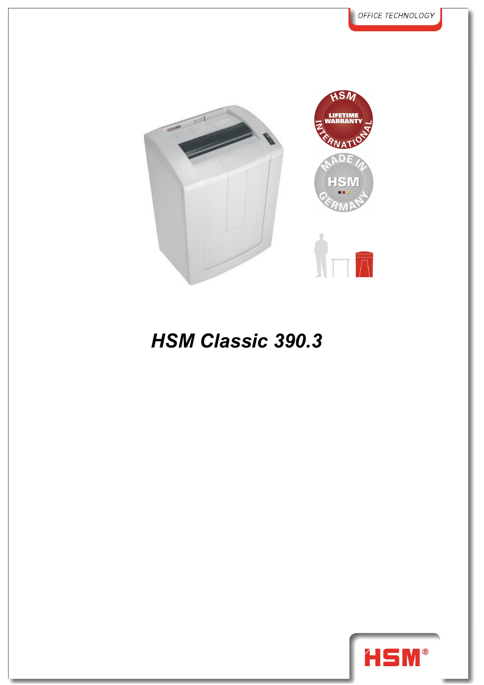

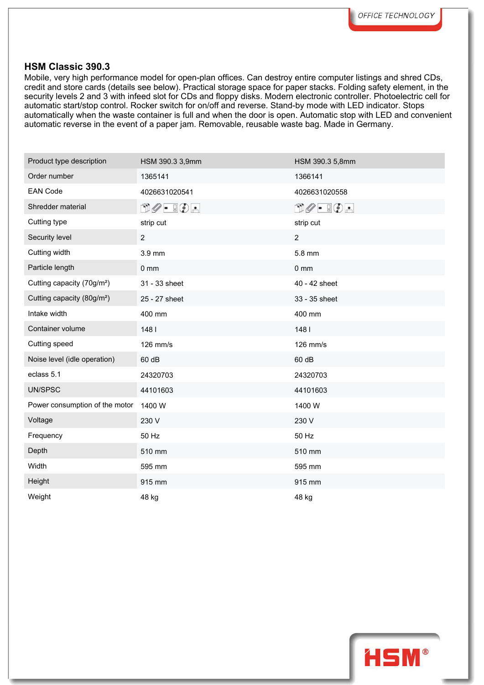Mobile, very high performance model for open-plan offices. Can destroy entire computer listings and shred CDs, credit and store cards (details see below). Practical storage space for paper stacks. Folding safety element, in the security levels 2 and 3 with infeed slot for CDs and floppy disks. Modern electronic controller. Photoelectric cell for automatic start/stop control. Rocker switch for on/off and reverse. Stand-by mode with LED indicator. Stops automatically when the waste container is full and when the door is open. Automatic stop with LED and convenient automatic reverse in the event of a paper jam. Removable, reusable waste bag. Made in Germany.

| Product type description               | HSM 390.3 3,9mm                                                                                                                                                                                                                                                                                                                                     | HSM 390.3 5,8mm                                                          |
|----------------------------------------|-----------------------------------------------------------------------------------------------------------------------------------------------------------------------------------------------------------------------------------------------------------------------------------------------------------------------------------------------------|--------------------------------------------------------------------------|
| Order number                           | 1365141                                                                                                                                                                                                                                                                                                                                             | 1366141                                                                  |
| <b>EAN Code</b>                        | 4026631020541                                                                                                                                                                                                                                                                                                                                       | 4026631020558                                                            |
| Shredder material                      | $\begin{picture}(15,10) \put(0,0){\line(1,0){10}} \put(15,0){\line(1,0){10}} \put(15,0){\line(1,0){10}} \put(15,0){\line(1,0){10}} \put(15,0){\line(1,0){10}} \put(15,0){\line(1,0){10}} \put(15,0){\line(1,0){10}} \put(15,0){\line(1,0){10}} \put(15,0){\line(1,0){10}} \put(15,0){\line(1,0){10}} \put(15,0){\line(1,0){10}} \put(15,0){\line(1$ | $\Box\oslash\textcolor{red}{\bullet}\ \Box\odot\textcolor{red}{\bullet}$ |
| Cutting type                           | strip cut                                                                                                                                                                                                                                                                                                                                           | strip cut                                                                |
| Security level                         | $\overline{2}$                                                                                                                                                                                                                                                                                                                                      | $\overline{c}$                                                           |
| Cutting width                          | 3.9 mm                                                                                                                                                                                                                                                                                                                                              | 5.8 mm                                                                   |
| Particle length                        | $0 \text{ mm}$                                                                                                                                                                                                                                                                                                                                      | $0 \text{ mm}$                                                           |
| Cutting capacity (70g/m <sup>2</sup> ) | 31 - 33 sheet                                                                                                                                                                                                                                                                                                                                       | 40 - 42 sheet                                                            |
| Cutting capacity (80g/m <sup>2</sup> ) | 25 - 27 sheet                                                                                                                                                                                                                                                                                                                                       | 33 - 35 sheet                                                            |
| Intake width                           | 400 mm                                                                                                                                                                                                                                                                                                                                              | 400 mm                                                                   |
| Container volume                       | 1481                                                                                                                                                                                                                                                                                                                                                | 1481                                                                     |
| Cutting speed                          | 126 mm/s                                                                                                                                                                                                                                                                                                                                            | 126 mm/s                                                                 |
| Noise level (idle operation)           | 60 dB                                                                                                                                                                                                                                                                                                                                               | 60 dB                                                                    |
| eclass 5.1                             | 24320703                                                                                                                                                                                                                                                                                                                                            | 24320703                                                                 |
| UN/SPSC                                | 44101603                                                                                                                                                                                                                                                                                                                                            | 44101603                                                                 |
| Power consumption of the motor         | 1400 W                                                                                                                                                                                                                                                                                                                                              | 1400 W                                                                   |
| Voltage                                | 230 V                                                                                                                                                                                                                                                                                                                                               | 230 V                                                                    |
| Frequency                              | 50 Hz                                                                                                                                                                                                                                                                                                                                               | 50 Hz                                                                    |
| Depth                                  | 510 mm                                                                                                                                                                                                                                                                                                                                              | 510 mm                                                                   |
| Width                                  | 595 mm                                                                                                                                                                                                                                                                                                                                              | 595 mm                                                                   |
| Height                                 | 915 mm                                                                                                                                                                                                                                                                                                                                              | 915 mm                                                                   |
| Weight                                 | 48 kg                                                                                                                                                                                                                                                                                                                                               | 48 kg                                                                    |

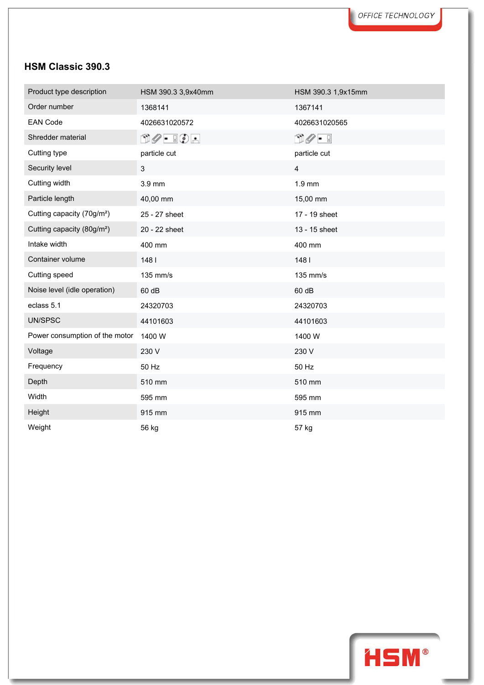| Product type description               | HSM 390.3 3,9x40mm              | HSM 390.3 1,9x15mm              |
|----------------------------------------|---------------------------------|---------------------------------|
| Order number                           | 1368141                         | 1367141                         |
| <b>EAN Code</b>                        | 4026631020572                   | 4026631020565                   |
| Shredder material                      | $\Box\oslash$ - $\Box\oslash$ - | $\cup \mathscr{O} = \mathbb{I}$ |
| Cutting type                           | particle cut                    | particle cut                    |
| Security level                         | 3                               | $\overline{4}$                  |
| Cutting width                          | 3.9 mm                          | 1.9 mm                          |
| Particle length                        | 40,00 mm                        | 15,00 mm                        |
| Cutting capacity (70g/m <sup>2</sup> ) | 25 - 27 sheet                   | 17 - 19 sheet                   |
| Cutting capacity (80g/m <sup>2</sup> ) | 20 - 22 sheet                   | 13 - 15 sheet                   |
| Intake width                           | 400 mm                          | 400 mm                          |
| Container volume                       | 1481                            | 1481                            |
| Cutting speed                          | 135 mm/s                        | 135 mm/s                        |
| Noise level (idle operation)           | 60 dB                           | 60 dB                           |
| eclass 5.1                             | 24320703                        | 24320703                        |
| UN/SPSC                                | 44101603                        | 44101603                        |
| Power consumption of the motor         | 1400W                           | 1400 W                          |
| Voltage                                | 230 V                           | 230 V                           |
| Frequency                              | 50 Hz                           | 50 Hz                           |
| Depth                                  | 510 mm                          | 510 mm                          |
| Width                                  | 595 mm                          | 595 mm                          |
| Height                                 | 915 mm                          | 915 mm                          |
| Weight                                 | 56 kg                           | 57 kg                           |